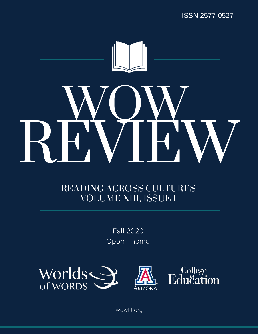

# READING ACROSS CULTURES VOLUME XIII, ISSUE 1

Fall 2020 Open Theme



wowlit.org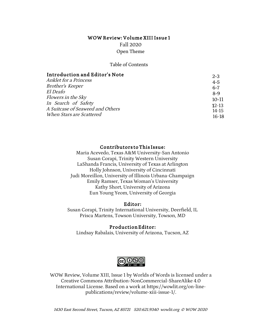### WOW Review: Volume XIII Issue 1 Fall 2020

Open Theme

Table of Contents

| Introduction and Editor's Note                          | $2 - 3$              |
|---------------------------------------------------------|----------------------|
| Anklet for a Princess                                   | $4-5$                |
| Brother's Keeper                                        | $6 - 7$              |
| <i>El Deafo</i>                                         | $8-9$                |
| Flowers in the Sky                                      | $10-11$              |
| In Search of Safety<br>A Suitcase of Seaweed and Others | $12 - 13$<br>$14-15$ |
| When Stars are Scattered                                | $16-18$              |

#### Contributors to This Issue:

Maria Acevedo, Texas A&M University-San Antonio Susan Corapi, Trinity Western University LaShanda Francis, University of Texas at Arlington Holly Johnson, University of Cincinnati Judi Moreillon, University of Illinois Urbana-Champaign Emily Ramser, Texas Woman's University Kathy Short, University of Arizona Eun Young Yeom, University of Georgia

#### Editor:

Susan Corapi, Trinity International University, Deerfield, IL Prisca Martens, Towson University, Towson, MD

#### Production Editor:

Lindsay Rabalais, University of Arizona, Tucson, AZ



WOW Review, Volume XIII, Issue 1 by Worlds of Words is licensed under a Creative Commons Attribution-NonCommercial-ShareAlike 4.0 International License. Based on a work at https://wowlit.org/on-linepublications/review/volume-xiii-issue-1/.

<sup>1430</sup> East Second Street, Tucson, AZ <sup>85721</sup> 520.621.9340 wowlit.org © WOW <sup>2020</sup>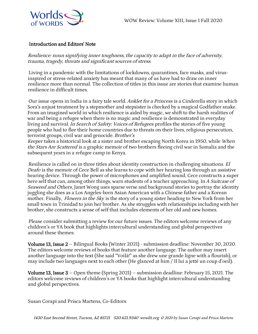

## Introduction and Editors' Note

Resilience: noun signifying inner toughness, the capacity to adapt in the face of adversity, trauma, tragedy, threats and significant sources of stress.

Living in a pandemic with the limitations of lockdowns, quarantines, face masks, and virusinspired or stress-related anxiety has meant that many of us have had to draw on inner resilience more than normal. The collection of titles in this issue are stories that examine human resilience in difficult times.

Our issue opens in India in a fairy tale world. Anklet for a Princess is a Cinderella story in which Sora's unjust treatment by a stepmother and stepsister is checked by a magical Godfather snake. From an imagined world in which resilience is aided by magic, we shift to the harsh realities of war and being a refugee when there is no magic and resilience is demonstrated in everyday living and survival. In Search of Safety: Voices of Refugees profiles the stories of five young people who had to flee their home countries due to threats on their lives, religious persecution, terrorist groups, civil war and genocide. Brother's

Keeper takes a historical look at a sister and brother escaping North Korea in 1950, while When the *Stars Are Scattered* is a graphic memoir of two brothers fleeing civil war in Somalia and the subsequent years in a refugee camp in Kenya.

Resilience is called on in three titles about identity construction in challenging situations. El Deafo is the memoir of Cece Bell as she learns to cope with her hearing loss through an assistive hearing device. Through the power of microphones and amplified sound, Cece constructs a super hero self that can, among other things, warn students of a teacher approaching. In A Suitcase of Seaweed and Others, Janet Wong uses sparse verse and background stories to portray the identity juggling she does as a Los Angeles-born Asian American with a Chinese father and a Korean mother. Finally, *Flowers in the Sky* is the story of a young sister heading to New York from her small town in Trinidad to join her brother. As she struggles with relationships including with her brother, she constructs a sense of self that includes elements of her old and new homes.

Please consider submitting a review for our future issues. The editors welcome reviews of any children's or YA book that highlights intercultural understanding and global perspectives around these themes:

Volume 13, Issue 2 – Bilingual Books (Winter 2021) - submission deadline: November 30, 2020. The editors welcome reviews of books that feature another language. The author may insert another language into the text (She said "Voilà!" as she drew une grande ligne with a flourish), or may include two languages next to each other (He glanced at him / Il lui a jetté un coup d'oeil).

**Volume 13, Issue 3** – Open theme (Spring 2021) – submission deadline: February 15, 2021. The editors welcome reviews of children's or YA books that highlight intercultural understanding and global perspectives.

Susan Corapi and Prisca Martens, Co-Editors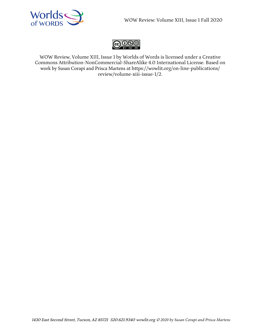



WOW Review, Volume XIII, Issue 1 by Worlds of Words is licensed under a Creative Commons Attribution-NonCommercial-ShareAlike 4.0 International License. Based on work by Susan Corapi and Prisca Martens at https://wowlit.org/on-line-publications/ review/volume-xiii-issue-1/2.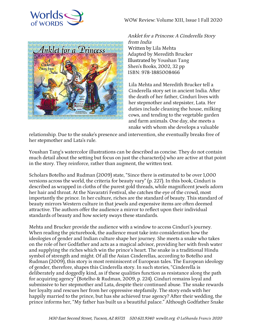





Anklet for a Princess: A Cinderella Story from India Written by Lila Mehta Adapted by Meredith Brucker Illustrated by Youshan Tang Shen's Books, 2002, 32 pp ISBN: 978-1885008466

Lila Mehta and Meredith Brucker tell a Cinderella story set in ancient India. After the death of her father, Cinduri lives with her stepmother and stepsister, Lata. Her duties include cleaning the house, milking cows, and tending to the vegetable garden and farm animals. One day, she meets a snake with whom she develops a valuable

relationship. Due to the snake's presence and intervention, she eventually breaks free of her stepmother and Lata's rule.

Youshan Tang's watercolor illustrations can be described as concise. They do not contain much detail about the setting but focus on just the character(s) who are active at that point in the story. They reinforce, rather than augment, the written text.

Scholars Botelho and Rudman (2009) state, "Since there is estimated to be over 1,000 versions across the world, the criteria for beauty vary" (p. 227). In this book, Cinduri is described as wrapped in cloths of the purest gold threads, while magnificent jewels adorn her hair and throat. At the Navaratri Festival, she catches the eye of the crowd, most importantly the prince. In her culture, riches are the standard of beauty. This standard of beauty mirrors Western culture in that jewels and expensive items are often deemed attractive. The authors offer the audience a mirror to reflect upon their individual standards of beauty and how society sways these standards.

Mehta and Brucker provide the audience with a window to access Cinduri's journey. When reading the picturebook, the audience must take into consideration how the ideologies of gender and Indian culture shape her journey. She meets a snake who takes on the role of her Godfather and acts as a magical advisor, providing her with fresh water and supplying the riches which win the prince's heart. The snake is a traditional Hindu symbol of strength and might. Of all the Asian Cinderellas, according to Botelho and Rudman (2009), this story is most reminiscent of European tales. The European ideology of gender, therefore, shapes this Cinderella story. In such stories, "Cinderella is deliberately and doggedly kind, as if these qualities function as resistance along the path for acquiring agency" (Botelho & Rudman, 2009, p. 224). Cinduri remains loyal and submissive to her stepmother and Lata, despite their continued abuse. The snake rewards her loyalty and rescues her from her oppressive stepfamily. The story ends with her happily married to the prince, but has she achieved true agency? After their wedding, the prince informs her, "My father has built us a beautiful palace." Although Godfather Snake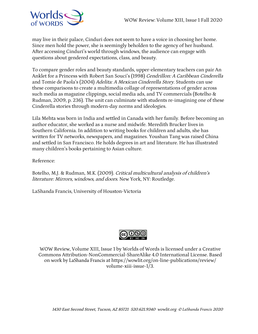

may live in their palace, Cinduri does not seem to have a voice in choosing her home. Since men hold the power, she is seemingly beholden to the agency of her husband. After accessing Cinduri's world through windows, the audience can engage with questions about gendered expectations, class, and beauty.

To compare gender roles and beauty standards, upper-elementary teachers can pair An Anklet for a Princess with Robert San Souci's (1998) Cendrillon: A Caribbean Cinderella and Tomie de Paola's (2004) Adelita: A Mexican Cinderella Story. Students can use these comparisons to create a multimedia collage of representations of gender across such media as magazine clippings, social media ads, and TV commercials (Botelho & Rudman, 2009, p. 236). The unit can culminate with students re-imagining one of these Cinderella stories through modern-day norms and ideologies.

Lila Mehta was born in India and settled in Canada with her family. Before becoming an author educator, she worked as a nurse and midwife. Meredith Brucker lives in Southern California. In addition to writing books for children and adults, she has written for TV networks, newspapers, and magazines. Youshan Tang was raised China and settled in San Francisco. He holds degrees in art and literature. He has illustrated many children's books pertaining to Asian culture.

Reference:

Botelho, M.J. & Rudman, M.K. (2009). Critical multicultural analysis of children's literature: Mirrors, windows, and doors. New York, NY: Routledge.

LaShanda Francis, University of Houston-Victoria



WOW Review, Volume XIII, Issue 1 by Worlds of Words is licensed under a Creative Commons Attribution-NonCommercial-ShareAlike 4.0 International License. Based on work by LaShanda Francis at https://wowlit.org/on-line-publications/review/ volume-xiii-issue-1/3.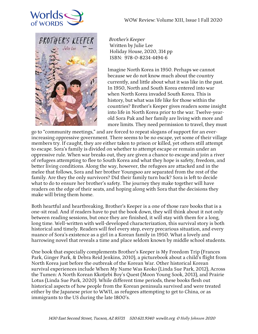



Brother's Keeper Written by Julie Lee Holiday House, 2020, 314 pp ISBN: 978-0-8234-4494-6

Imagine North Korea in 1950. Perhaps we cannot because we do not know much about the country currently, and little about what it was like in the past. In 1950, North and South Korea entered into war when North Korea invaded South Korea. This is history, but what was life like for those within the countries? Brother's Keeper gives readers some insight into life in North Korea prior to the war. Twelve-yearold Sora Pak and her family are living with more and more limits. They need permission to travel, they must

go to "community meetings," and are forced to repeat slogans of support for an everincreasing oppressive government. There seems to be no escape, yet some of their village members try. If caught, they are either taken to prison or killed, yet others still attempt to escape. Sora's family is divided on whether to attempt escape or remain under an oppressive rule. When war breaks out, they are given a chance to escape and join a river of refugees attempting to flee to South Korea and what they hope is safety, freedom, and better living conditions. Along the way, however, the refugees are attacked and in the melee that follows, Sora and her brother Youngsoo are separated from the rest of the family. Are they the only survivors? Did their family turn back? Sora is left to decide what to do to ensure her brother's safety. The journey they make together will have readers on the edge of their seats, and hoping along with Sora that the decisions they make will bring them home.

Both heartful and heartbreaking, Brother's Keeper is a one of those rare books that is a one-sit read. And if readers have to put the book down, they will think about it not only between reading sessions, but once they are finished, it will stay with them for a long, long time. Well-written with well-developed characterization, this survival story is both historical and timely. Readers will feel every step, every precarious situation, and every nuance of Sora's existence as a girl in a Korean family in 1950. What a lovely and harrowing novel that reveals a time and place seldom known by middle school students.

One book that especially complements Brother's Keeper is My Freedom Trip (Frances Park, Ginger Park, & Debra Reid Jenkins, 2010), a picturebook about a child's flight from North Korea just before the outbreak of the Korean War. Other historical Korean survival experiences include When My Name Was Keoko (Linda Sue Park, 2012), Across the Tumen: A North Korean Kkotjebi Boy's Quest (Moon Young Sook, 2013), and Prairie Lotus (Linda Sue Park, 2020). While different time periods, these books flesh out historical aspects of how people from the Korean peninsula survived and were treated either by the Japanese prior to WWII, as refugees attempting to get to China, or as immigrants to the US during the late 1800's.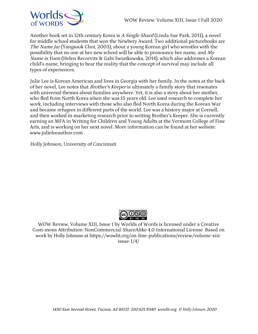

Another book set in 12th century Korea is A Single Shard (Linda Sue Park, 2011), a novel for middle school students that won the Newbery Award. Two additional picturebooks are The Name Jar (Yangsook Choi, 2003), about a young Korean girl who wrestles with the possibility that no one at her new school will be able to pronounce her name, and My Name is Yoon (Helen Recorvits & Gabi Swiatkowska, 2014), which also addresses a Korean child's name, bringing to bear the reality that the concept of survival may include all types of experiences.

Julie Lee is Korean American and lives in Georgia with her family. In the notes at the back of her novel, Lee notes that *Brother's Keeper* is ultimately a family story that resonates with universal themes about families anywhere. Yet, it is also a story about her mother, who fled from North Korea when she was 15 years old. Lee used research to complete her work, including interviews with those who also fled North Korea during the Korean War and became refugees in different parts of the world. Lee was a history major at Cornell, and then worked in marketing research prior to writing Brother's Keeper. She is currently earning an MFA in Writing for Children and Young Adults at the Vermont College of Fine Arts, and is working on her next novel. More information can be found at her website: www.julieleeauthor.com .

Holly Johnson, University of Cincinnati



WOW Review, Volume XIII, Issue 1 by Worlds of Words is licensed under a Creative Com-mons Attribution-NonCommercial-ShareAlike 4.0 International License. Based on work by Holly Johnson at https://wowlit.org/on-line-publications/review/volume-xiiiissue-1/4/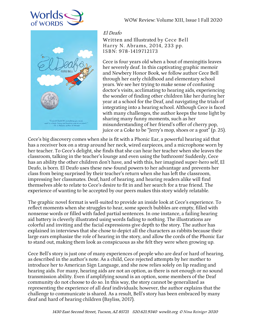

e El Deafol It's everything you coul<br>bok: funny and touching and oh so<br>-R. J. Palacio, author of Wonder

WOW Review: Volume XIII, Issue 1 Fall 2020

# El Deafo

Written and Illustrated by Cece Bell Harry N. Abrams, 2014, 233 pp. ISBN: 978-1419712173

Cece is four years old when a bout of meningitis leaves her severely deaf. In this captivating graphic memoir and Newbery Honor Book, we follow author Cece Bell through her early childhood and elementary school years. We see her trying to make sense of confusing doctor's visits, acclimating to hearing aids, experiencing the wonder of finding other children like her during her year at a school for the Deaf, and navigating the trials of integrating into a hearing school. Although Cece is faced with many challenges, the author keeps the tone light by sharing many funny moments, such as her misunderstanding of her friend's offer of cherry pop, juice or a Coke to be "Jerry's mop, shoes or a goat" (p. 25).

Cece's big discovery comes when she is fit with a Phonic Ear, a powerful hearing aid that has a receiver box on a strap around her neck, wired earpieces, and a microphone worn by her teacher. To Cece's delight, she finds that she can hear her teacher when she leaves the classroom, talking in the teacher's lounge and even using the bathroom! Suddenly, Cece has an ability the other children don't have, and with this, her imagined super-hero self, El Deafo, is born. El Deafo uses these new-found powers to her advantage and prevents her class from being surprised by their teacher's return when she has left the classroom, impressing her classmates. Deaf, hard of hearing, and hearing readers alike will find themselves able to relate to Cece's desire to fit in and her search for a true friend. The experience of wanting to be accepted by our peers makes this story widely relatable.

The graphic novel format is well-suited to provide an inside look at Cece's experience. To reflect moments when she struggles to hear, some speech bubbles are empty, filled with nonsense words or filled with faded partial sentences. In one instance, a failing hearing aid battery is cleverly illustrated using words fading to nothing. The illustrations are colorful and inviting and the facial expressions give depth to the story. The author has explained in interviews that she chose to depict all the characters as rabbits because their large ears emphasize the role of hearing in the story, and allow the cords of the Phonic Ear to stand out, making them look as conspicuous as she felt they were when growing up.

Cece Bell's story is just one of many experiences of people who are deaf or hard of hearing, as described in the author's note. As a child, Cece rejected attempts by her mother to introduce her to American Sign Language, and she now relies solely on lip reading and hearing aids. For many, hearing aids are not an option, as there is not enough or no sound transmission ability. Even if amplifying sound is an option, some members of the Deaf community do not choose to do so. In this way, the story cannot be generalized as representing the experience of all deaf individuals; however, the author explains that the challenge to communicate is shared. As a result, Bell's story has been embraced by many deaf and hard of hearing children (Bayliss, 2017).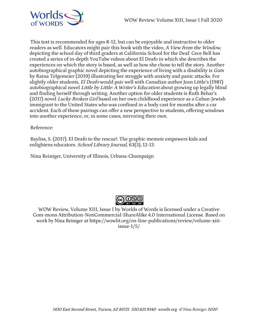

This text is recommended for ages 8-12, but can be enjoyable and instructive to older readers as well. Educators might pair this book with the video, A View from the Window, depicting the school day of third graders at California School for the Deaf. Cece Bell has created a series of in-depth YouTube videos about El Deafo in which she describes the experiences on which the story is based, as well as how she chose to tell the story. Another autobiographical graphic novel depicting the experience of living with a disability is Guts by Raina Telgemeier (2019) illustrating her struggle with anxiety and panic attacks. For slightly older students, El Deafo would pair well with Canadian author Jean Little's (1987) autobiographical novel *Little by Little: A Writer's Education* about growing up legally blind and finding herself through writing. Another option for older students is Ruth Behar's (2017) novel Lucky Broken Girl based on her own childhood experience as a Cuban-Jewish immigrant to the United States who was confined in a body cast for months after a car accident. Each of these pairings can offer a new perspective to students, offering windows into another experience, or, in some cases, mirroring their own.

Reference:

Bayliss, S. (2017). El Deafo to the rescue!: The graphic memoir empowers kids and enlightens educators. *School Library Journal*, 63(3), 12-13.

Nina Reiniger, University of Illinois, Urbana-Champaign



WOW Review, Volume XIII, Issue 1 by Worlds of Words is licensed under a Creative Com-mons Attribution-NonCommercial-ShareAlike 4.0 International License. Based on work by Nina Reiniger at https://wowlit.org/on-line-publications/review/volume-xiiiissue-1/5/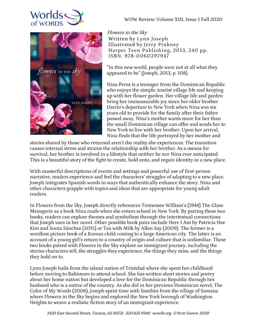





Flowers in the Sky Written by Lynn Joseph Illustrated by Jerry Pinkney Harper Teen Publishing, 2013, 240 pp. ISBN: 978-0060297947

"In this new world, people were not at all what they appeared to be" (Joseph, 2013, p. 108).

Nina Perez is a teenager from the Dominican Republic who enjoys the simple, tourist village life and keeping up with her flower garden. Her village life and garden bring her immeasurable joy since her older brother Darrio's departure to New York when Nina was six years old to provide for the family after their father passed away. Nina's mother wants more for her than the small Dominican village can offer and sends her to New York to live with her brother. Upon her arrival, Nina finds that the life portrayed by her mother and

stories shared by those who returned aren't the reality she experiences. The transition causes internal stress and strains the relationship with her brother. As a means for survival, her brother is involved in a lifestyle that neither he nor Nina ever anticipated. This is a beautiful story of the fight to create, hold onto, and regain identity in a new place.

With masterful descriptions of events and settings and powerful use of first-person narrative, readers experience and feel the characters' struggles of adapting to a new place. Joseph integrates Spanish words in ways that authentically enhance the story. Nina and other characters grapple with topics and ideas that are appropriate for young adult readers.

In Flowers from the Sky, Joseph directly references Tennessee William's (1944) The Glass Menagerie as a book Nina reads when she enters school in New York. By pairing these two books, readers can explore themes and symbolism through the intertextual connections that Joseph uses in her novel. Other possible book pairs include Here I Am by Patricia Hee Kim and Sonia Sánchez (2015) or Tea with Milk by Allen Say (2009). The former is a wordless picture book of a Korean child coming to a large American city. The latter is an account of a young girl's return to a country of origin and culture that is unfamiliar. These two books paired with Flowers in the Sky explore an immigrant journey, including the stories characters tell, the struggles they experience, the things they miss, and the things they hold on to.

Lynn Joseph hails from the island nation of Trinidad where she spent her childhood before moving to Baltimore to attend school. She has written short stories and poetry about her home nation but developed a love for the Dominican Republic through her husband who is a native of the country. As she did in her previous Dominican novel, The Color of My Words (2006), Joseph spent time with families from the village of Samana where Flowers in the Sky begins and explored the New York borough of Washington Heights to weave a realistic fiction story of an immigrant experience.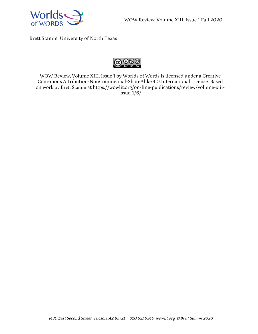

Brett Stamm, University of North Texas



WOW Review, Volume XIII, Issue 1 by Worlds of Words is licensed under a Creative Com-mons Attribution-NonCommercial-ShareAlike 4.0 International License. Based on work by Brett Stamm at https://wowlit.org/on-line-publications/review/volume-xiiiissue-1/6/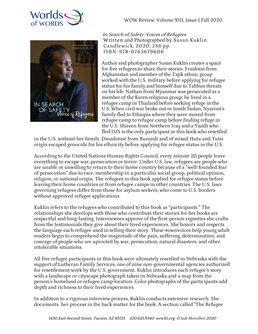



In Search of Safety: Voices of Refugees Written and Photographed by Susan Kuklin Candlewick, 2020, 246 pp. ISBN: 978-0763679606

Author and photographer Susan Kuklin creates a space for five refugees to share their stories. Fraidoon from Afghanistan and member of the Tajik ethnic group worked with the U.S. military before applying for refugee status for his family and himself due to Taliban threats on his life. Nathan from Myanmar was persecuted as a member of the Karen religious group; he lived in a refugee camp in Thailand before seeking refuge in the U.S. When civil war broke out in South Sudan, Nyaront's family fled to Ethiopia where they were moved from refugee camp to refugee camp before finding refuge in the U.S. Shireen from Northern Iraq and a Yazidi who fled ISIS is the only participant in this book who resettled

in the U.S. without her family. Dieudonné from Burundi and of mixed Hutu and Tutsi origin escaped genocide for his ethnicity before applying for refugee status in the U.S.

According to the United Nations Human Rights Council, every minute 20 people leave everything to escape war, persecution or terror. Under U.S. law, refugees are people who are unable or unwilling to return to their home country because of a "well-founded fear of persecution" due to race, membership in a particular social group, political opinion, religion, or national origin. The refugees in this book applied for refugee status before leaving their home countries or from refugee camps in other countries. The U.S. laws governing refugees differ from those for asylum seekers, who come to U.S. borders without approved refugee applications.

Kuklin refers to the refugees who contributed to this book as "participants." The relationships she develops with those who contribute their stories for her books are respectful and long-lasting. Interviewees approve of the first-person vignettes she crafts from the testimonials they give about their lived experiences. She honors and respects the language each refugee used in telling their story. These #ownvoices help young adult readers begin to comprehend the magnitude of the pain, suffering, determination, and courage of people who are uprooted by war, persecution, natural disasters, and other intolerable situations.

All five refugee participants in this book were ultimately resettled in Nebraska with the support of Lutheran Family Services, one of nine non-governmental agencies authorized for resettlement work by the U.S. government. Kuklin introduces each refugee's story with a landscape or cityscape photograph taken in Nebraska and a map from the person's homeland or refugee camp location. Color photographs of the participants add depth and richness to their lived experiences.

In addition to a rigorous interview process, Kuklin conducts extensive research. She documents her process in the back matter for the book. A section called "The Refugee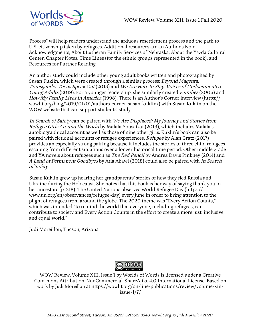

Process" will help readers understand the arduous resettlement process and the path to U.S. citizenship taken by refugees. Additional resources are an Author's Note, Acknowledgments, About Lutheran Family Services of Nebraska, About the Yazda Cultural Center, Chapter Notes, Time Lines (for the ethnic groups represented in the book), and Resources for Further Reading.

An author study could include other young adult books written and photographed by Susan Kuklin, which were created through a similar process: Beyond Magenta: Transgender Teens Speak Out (2015) and We Are Here to Stay: Voices of Undocumented Young Adults (2019). For a younger readership, she similarly created *Families* (2006) and How My Family Lives in America (1998). There is an Author's Corner interview (https:// wowlit.org/blog/2019/01/01/authors-corner-susan-kuklin/) with Susan Kuklin on the WOW website that can support students' study.

In Search of Safety can be paired with We Are Displaced: My Journey and Stories from Refugee Girls Around the World by Malala Yousafzai (2019), which includes Malala's autobiographical account as well as those of nine other girls. Kuklin's book can also be paired with fictional accounts of refugee experiences. *Refugee* by Alan Gratz (2017) provides an especially strong pairing because it includes the stories of three child refugees escaping from different situations over a longer historical time period. Other middle grade and YA novels about refugees such as *The Red Pencil* by Andrea Davis Pinkney (2014) and A Land of Permanent Goodbyes by Atia Abawi (2018) could also be paired with In Search of Safety.

Susan Kuklin grew up hearing her grandparents' stories of how they fled Russia and Ukraine during the Holocaust. She notes that this book is her way of saying thank you to her ancestors (p. 218). The United Nations observes World Refugee Day (https:// www.un.org/en/observances/refugee-day) every June in order to bring attention to the plight of refugees from around the globe. The 2020 theme was "Every Action Counts," which was intended "to remind the world that everyone, including refugees, can contribute to society and Every Action Counts in the effort to create a more just, inclusive, and equal world."

Judi Moreillon, Tucson, Arizona



WOW Review, Volume XIII, Issue 1 by Worlds of Words is licensed under a Creative Com-mons Attribution-NonCommercial-ShareAlike 4.0 International License. Based on work by Judi Moreillon at https://wowlit.org/on-line-publications/review/volume-xiiiissue-1/7/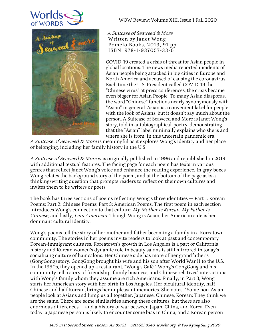



WOW Review: Volume XIII, Issue 1 Fall 2020

A Suitcase of Seaweed & More Written by Janet Wong Pomelo Books, 2019, 91 pp. ISBN: 978-1-937057-33-6

COVID-19 created a crisis of threat for Asian people in global locations. The news media reported incidents of Asian people being attacked in big cities in Europe and North America and accused of causing the coronavirus. Each time the U.S. President called COVID-19 the "Chinese virus" at press conferences, the crisis became even bigger for Asian People. To many Asian diasporas, the word "Chinese" functions nearly synonymously with "Asian" in general. Asian is a convenient label for people with the look of Asians, but it doesn't say much about the person. A Suitcase of Seaweed and More is Janet Wong's story, told in autobiographical-poetry, demonstrating that the "Asian" label minimally explains who she is and where she is from. In this uncertain pandemic era,

A Suitcase of Seaweed & More is meaningful as it explores Wong's identity and her place of belonging, including her family history in the U.S.

A Suitcase of Seaweed & More was originally published in 1996 and republished in 2019 with additional textual features. The facing page for each poem has texts in various genres that reflect Janet Wong's voice and enhance the reading experience. In gray boxes Wong relates the background story of the poem, and at the bottom of the page asks a thinking/writing question that prompts readers to reflect on their own cultures and invites them to be writers or poets.

The book has three sections of poems reflecting Wong's three identities — Part 1: Korean Poems; Part 2: Chinese Poems; Part 3: American Poems. The first poem in each section introduces Wong's connection to that culture: My Mother is Korean, My Father is Chinese, and lastly, I am American. Though Wong is Asian, her American side is her dominant cultural identity.

Wong's poems tell the story of her mother and father becoming a family in a Koreatown community. The stories in her poems invite readers to look at past and contemporary Korean-immigrant cultures. Koreatown's growth in Los Angeles is a part of California history and Korean women's dynamic role in beauty salons is still mirrored in today's socializing culture of hair salons. Her Chinese side has more of her grandfather's (GongGong) story. GongGong brought his wife and his son after World War II to the U.S. In the 1950s, they opened up a restaurant, "Wong's Café." Wong's GongGong and his community tell a story of friendship, family business, and Chinese relatives' interactions with Wong's family whom they assume are rich Americans. Finally, in Part 3, Wong starts her American story with her birth in Los Angeles. Her bicultural identity, half Chinese and half Korean, brings her unpleasant memories. She notes, "Some non-Asian people look at Asians and lump us all together. Japanese, Chinese, Korean: They think we are the same. There are some similarities among these cultures, but there are also enormous differences — and a history of war between Japan, China, and Korea. Even today, a Japanese person is likely to encounter some bias in China, and a Korean person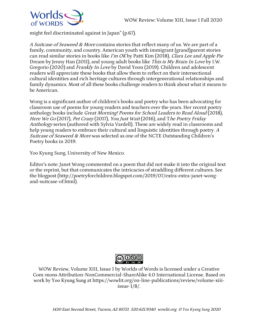

might feel discriminated against in Japan" (p.67).

A Suitcase of Seaweed & More contains stories that reflect many of us. We are part of a family, community, and country. American youth with immigrant (grand)parent stories can read similar stories in books like I'm OK by Patti Kim (2018), Clara Lee and Apple Pie Dream by Jenny Han (2011), and young adult books like *This is My Brain In Love* by I.W. Gregorio (2020) and Frankly In Love by David Yoon (2019). Children and adolescent readers will appreciate these books that allow them to reflect on their intersectional cultural identities and rich heritage cultures through intergenerational relationships and family dynamics. Most of all these books challenge readers to think about what it means to be American.

Wong is a significant author of children's books and poetry who has been advocating for classroom use of poems for young readers and teachers over the years. Her recent poetry anthology books include Great Morning! Poems for School Leaders to Read Aloud (2018), Here We Go (2017), Pet Crazy (2017), You Just Wait (2016), and The Poetry Friday Anthology series (authored with Sylvia Vardell). These are widely read in classrooms and help young readers to embrace their cultural and linguistic identities through poetry. A Suitcase of Seaweed & More was selected as one of the NCTE Outstanding Children's Poetry books in 2019.

Yoo Kyung Sung, University of New Mexico.

Editor's note: Janet Wong commented on a poem that did not make it into the original text or the reprint, but that communicates the intricacies of straddling different cultures. See the blogpost (http://poetryforchildren.blogspot.com/2019/07/extra-extra-janet-wongand-suitcase-of.html).



WOW Review, Volume XIII, Issue 1 by Worlds of Words is licensed under a Creative Com-mons Attribution-NonCommercial-ShareAlike 4.0 International License. Based on work by Yoo Kyung Sung at https://wowlit.org/on-line-publications/review/volume-xiiiissue-1/8/.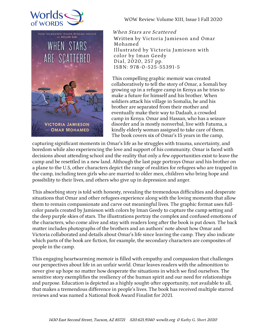



WOW Review: Volume XIII, Issue 1 Fall 2020

When Stars are Scattered Written by Victoria Jamieson and Omar Mohamed Illustrated by Victoria Jamieson with color by Iman Geedy Dial, 2020, 257 pp. ISBN: 978-0-525-55391-5

This compelling graphic memoir was created collaboratively to tell the story of Omar, a Somali boy growing up in a refugee camp in Kenya as he tries to make a future for himself and his brother. When soldiers attack his village in Somalia, he and his brother are separated from their mother and eventually make their way to Dadaab, a crowded camp in Kenya. Omar and Hassan, who has a seizure disorder and is mostly nonverbal, live with Fatuma, a kindly elderly woman assigned to take care of them. The book covers six of Omar's 15 years in the camp,

capturing significant moments in Omar's life as he struggles with trauma, uncertainty, and boredom while also experiencing the love and support of his community. Omar is faced with decisions about attending school and the reality that only a few opportunities exist to leave the camp and be resettled in a new land. Although the last page portrays Omar and his brother on a plane to the U.S, other characters depict the range of realities for refugees who are trapped in the camp, including teen girls who are married to older men, children who bring hope and possibility to their lives, and others who give up in depression and anger.

This absorbing story is told with honesty, revealing the tremendous difficulties and desperate situations that Omar and other refugees experience along with the loving moments that allow them to remain compassionate and carve out meaningful lives. The graphic format uses fullcolor panels created by Jamieson with colors by Iman Geedy to capture the camp setting and the deep purple skies of stars. The illustrations portray the complex and confused emotions of the characters, who come alive and stay with readers long after the book is put down. The back matter includes photographs of the brothers and an authors' note about how Omar and Victoria collaborated and details about Omar's life since leaving the camp. They also indicate which parts of the book are fiction, for example, the secondary characters are composites of people in the camp.

This engaging heartwarming memoir is filled with empathy and compassion that challenges our perspectives about life in an unfair world. Omar leaves readers with the admonition to never give up hope no matter how desperate the situations in which we find ourselves. The sensitive story exemplifies the resiliency of the human spirit and our need for relationships and purpose. Education is depicted as a highly sought-after opportunity, not available to all, that makes a tremendous difference in people's lives. The book has received multiple starred reviews and was named a National Book Award Finalist for 2021.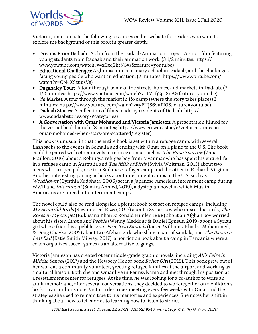

Victoria Jamieson lists the following resources on her website for readers who want to explore the background of this book in greater depth:

- Dreams From Dadaab : A clip from the Dadaab Animation project. A short film featuring young students from Dadaab and their animation work. (3 1/2 minutes; https:// www.youtube.com/watch?v=x6xq2htNSvs&feature=youtu.be)
- Educational Challenges: A glimpse into a primary school in Dadaab, and the challenges facing young people who want an education. (2 minutes; https://www.youtube.com/ watch?v=CN4XSzuusVs)
- Dagahaley Tour: A tour through some of the streets, homes, and markets in Dadaab. (3 1/2 minutes; https://www.youtube.com/watch?v=tM1fj2j\_8nA&feature=youtu.be)
- Ifo Market: A tour through the market in Ifo camp (where the story takes place) (3 minutes; https://www.youtube.com/watch?v=yFHjS6vuFI0&feature=youtu.be)
- Dadaab Stories: A collection of films made by residents of Dadaab. http:// www.dadaabstories.org/#categories)
- A Conversation with Omar Mohamed and Victoria Jamieson: A presentation filmed for the virtual book launch. (8 minutes; https://www.crowdcast.io/e/victoria-jamiesonomar-mohamed-when-stars-are-scattered/register)

This book is unusual in that the entire book is set within a refugee camp, with several flashbacks to the events in Somalia and ending with Omar on a plane to the U.S. The book could be paired with other novels in refugee camps, such as *The Bone Sparrow* (Zana Fraillon, 2016) about a Rohingya refugee boy from Myanmar who has spent his entire life in a refugee camp in Australia and *The Milk of Birds* (Sylvia Whitman, 2013) about two teens who are pen pals, one in a Sudanese refugee camp and the other in Richard, Virginia. Another interesting pairing is books about internment camps in the U.S. such as Weedflower (Cynthia Kadohata, 2006) set in a Japanese-American internment camp during WWII and Internment (Samira Ahmed, 2019), a dystopian novel in which Muslim Americans are forced into internment camps.

The novel could also be read alongside a picturebook text set on refugee camps, including My Beautiful Birds (Suzanne Del Rizzo, 2017) about a Syrian boy who misses his birds, The Roses in My Carpet (Rukhsana Khan & Ronald Himler, 1998) about an Afghan boy worried about his sister, *Lubna and Pebble* (Wendy Meddour & Daniel Egnéus, 2019) about a Syrian girl whose friend is a pebble, *Four Feet, Two Sandals* (Karen Williams, Khadra Mohammed, & Doug Chayka, 2007) about two Afghan girls who share a pair of sandals, and The Banana-Leaf Ball (Katie Smith Milway, 2017), a nonfiction book about a camp in Tanzania where a coach organizes soccer games as an alternative to gangs.

Victoria Jamieson has created other middle-grade graphic novels, including All's Faire in *Middle School* (2017) and the Newbery Honor book *Roller Girl* (2015). This book grew out of her work as a community volunteer, greeting refugee families at the airport and working as a cultural liaison. Both she and Omar live in Pennsylvania and met through his position at a resettlement center for refugees. At the time, he was looking for a co-author to write an adult memoir and, after several conversations, they decided to work together on a children's book. In an author's note, Victoria describes meeting every few weeks with Omar and the strategies she used to remain true to his memories and experiences. She notes her shift in thinking about how to tell stories to learning how to listen to stories.

<sup>1430</sup> East Second Street, Tucson, AZ <sup>85721</sup> 520.621.9340 wowlit.org © *Kathy G. Short* <sup>2020</sup>